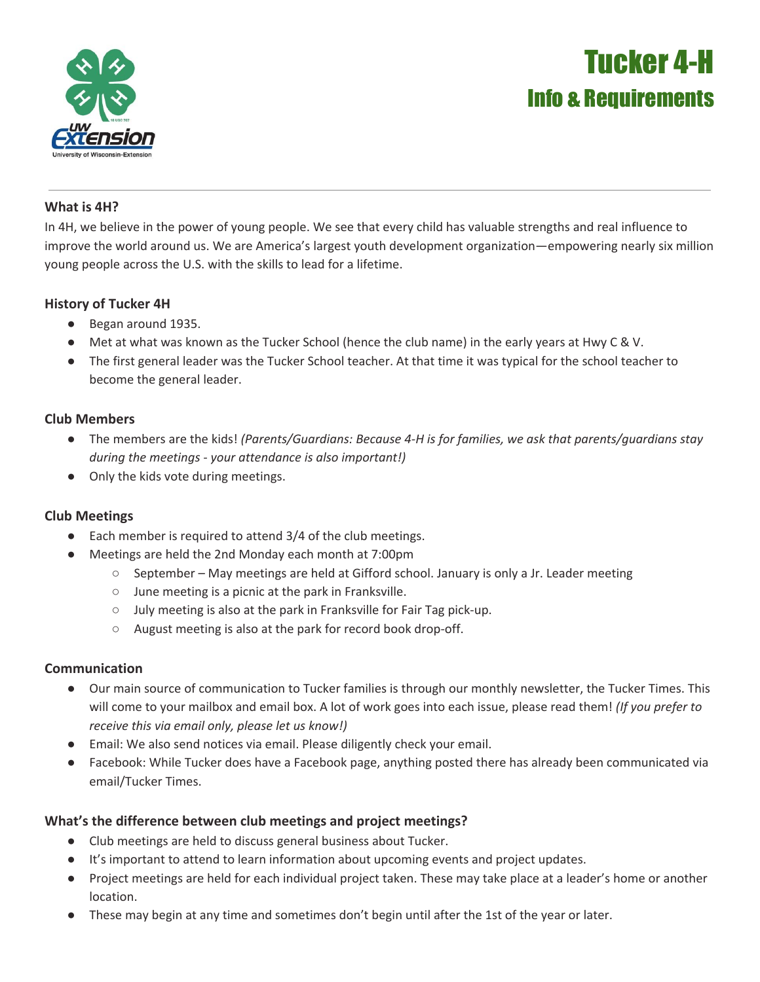

# Tucker 4-H Info & Requirements

#### **What is 4H?**

In 4H, we believe in the power of young people. We see that every child has valuable strengths and real influence to improve the world around us. We are America's largest youth development organization—empowering nearly six million young people across the U.S. with the skills to lead for a lifetime.

#### **History of Tucker 4H**

- Began around 1935.
- Met at what was known as the Tucker School (hence the club name) in the early years at Hwy C & V.
- The first general leader was the Tucker School teacher. At that time it was typical for the school teacher to become the general leader.

## **Club Members**

- The members are the kids! *(Parents/Guardians: Because 4-H is for families, we ask that parents/guardians stay during the meetings - your attendance is also important!)*
- Only the kids vote during meetings.

## **Club Meetings**

- Each member is required to attend 3/4 of the club meetings.
- Meetings are held the 2nd Monday each month at 7:00pm
	- September May meetings are held at Gifford school. January is only a Jr. Leader meeting
	- June meeting is a picnic at the park in Franksville.
	- July meeting is also at the park in Franksville for Fair Tag pick-up.
	- August meeting is also at the park for record book drop-off.

#### **Communication**

- Our main source of communication to Tucker families is through our monthly newsletter, the Tucker Times. This will come to your mailbox and email box. A lot of work goes into each issue, please read them! *(If you prefer to receive this via email only, please let us know!)*
- Email: We also send notices via email. Please diligently check your email.
- Facebook: While Tucker does have a Facebook page, anything posted there has already been communicated via email/Tucker Times.

## **What's the difference between club meetings and project meetings?**

- Club meetings are held to discuss general business about Tucker.
- It's important to attend to learn information about upcoming events and project updates.
- Project meetings are held for each individual project taken. These may take place at a leader's home or another location.
- These may begin at any time and sometimes don't begin until after the 1st of the year or later.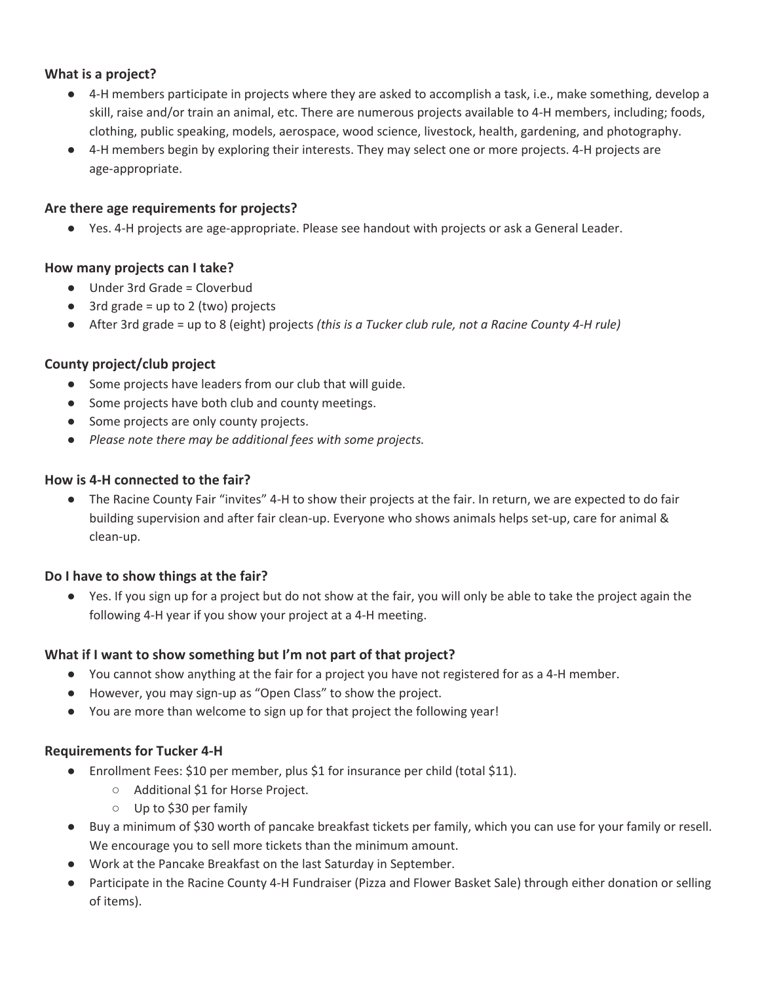## **What is a project?**

- 4-H members participate in projects where they are asked to accomplish a task, i.e., make something, develop a skill, raise and/or train an animal, etc. There are numerous projects available to 4-H members, including; foods, clothing, public speaking, models, aerospace, wood science, livestock, health, gardening, and photography.
- 4-H members begin by exploring their interests. They may select one or more projects. 4-H projects are age-appropriate.

#### **Are there age requirements for projects?**

● Yes. 4-H projects are age-appropriate. Please see handout with projects or ask a General Leader.

#### **How many projects can I take?**

- Under 3rd Grade = Cloverbud
- $\bullet$  3rd grade = up to 2 (two) projects
- After 3rd grade = up to 8 (eight) projects *(this is a Tucker club rule, not a Racine County 4-H rule)*

## **County project/club project**

- Some projects have leaders from our club that will guide.
- Some projects have both club and county meetings.
- Some projects are only county projects.
- *● Please note there may be additional fees with some projects.*

#### **How is 4-H connected to the fair?**

● The Racine County Fair "invites" 4-H to show their projects at the fair. In return, we are expected to do fair building supervision and after fair clean-up. Everyone who shows animals helps set-up, care for animal & clean-up.

## **Do I have to show things at the fair?**

● Yes. If you sign up for a project but do not show at the fair, you will only be able to take the project again the following 4-H year if you show your project at a 4-H meeting.

## **What if I want to show something but I'm not part of that project?**

- You cannot show anything at the fair for a project you have not registered for as a 4-H member.
- However, you may sign-up as "Open Class" to show the project.
- You are more than welcome to sign up for that project the following year!

#### **Requirements for Tucker 4-H**

- Enrollment Fees: \$10 per member, plus \$1 for insurance per child (total \$11).
	- Additional \$1 for Horse Project.
	- Up to \$30 per family
- Buy a minimum of \$30 worth of pancake breakfast tickets per family, which you can use for your family or resell. We encourage you to sell more tickets than the minimum amount.
- Work at the Pancake Breakfast on the last Saturday in September.
- Participate in the Racine County 4-H Fundraiser (Pizza and Flower Basket Sale) through either donation or selling of items).